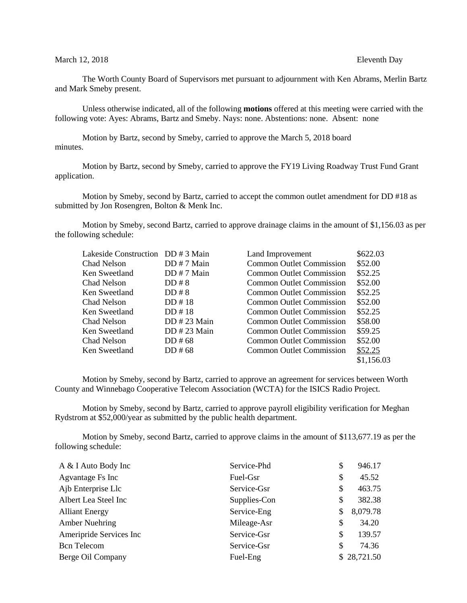## March 12, 2018 **Eleventh** Day

The Worth County Board of Supervisors met pursuant to adjournment with Ken Abrams, Merlin Bartz and Mark Smeby present.

Unless otherwise indicated, all of the following **motions** offered at this meeting were carried with the following vote: Ayes: Abrams, Bartz and Smeby. Nays: none. Abstentions: none. Absent: none

Motion by Bartz, second by Smeby, carried to approve the March 5, 2018 board minutes.

Motion by Bartz, second by Smeby, carried to approve the FY19 Living Roadway Trust Fund Grant application.

Motion by Smeby, second by Bartz, carried to accept the common outlet amendment for DD #18 as submitted by Jon Rosengren, Bolton & Menk Inc.

Motion by Smeby, second Bartz, carried to approve drainage claims in the amount of \$1,156.03 as per the following schedule:

| Lakeside Construction DD # 3 Main |               | Land Improvement                | \$622.03   |
|-----------------------------------|---------------|---------------------------------|------------|
| Chad Nelson                       | $DD # 7$ Main | <b>Common Outlet Commission</b> | \$52.00    |
| Ken Sweetland                     | DD # 7 Main   | <b>Common Outlet Commission</b> | \$52.25    |
| Chad Nelson                       | DD#8          | <b>Common Outlet Commission</b> | \$52.00    |
| Ken Sweetland                     | DD#8          | Common Outlet Commission        | \$52.25    |
| Chad Nelson                       | DD # 18       | Common Outlet Commission        | \$52.00    |
| Ken Sweetland                     | DD#18         | <b>Common Outlet Commission</b> | \$52.25    |
| Chad Nelson                       | DD # 23 Main  | Common Outlet Commission        | \$58.00    |
| Ken Sweetland                     | DD # 23 Main  | Common Outlet Commission        | \$59.25    |
| Chad Nelson                       | $DD \# 68$    | <b>Common Outlet Commission</b> | \$52.00    |
| Ken Sweetland                     | $DD \# 68$    | Common Outlet Commission        | \$52.25    |
|                                   |               |                                 | \$1,156.03 |

Motion by Smeby, second by Bartz, carried to approve an agreement for services between Worth County and Winnebago Cooperative Telecom Association (WCTA) for the ISICS Radio Project.

Motion by Smeby, second by Bartz, carried to approve payroll eligibility verification for Meghan Rydstrom at \$52,000/year as submitted by the public health department.

Motion by Smeby, second Bartz, carried to approve claims in the amount of \$113,677.19 as per the following schedule:

| A & I Auto Body Inc     | Service-Phd  | \$  | 946.17      |
|-------------------------|--------------|-----|-------------|
| Agvantage Fs Inc        | Fuel-Gsr     | \$  | 45.52       |
| Ajb Enterprise Llc      | Service-Gsr  | S   | 463.75      |
| Albert Lea Steel Inc    | Supplies-Con | \$  | 382.38      |
| <b>Alliant Energy</b>   | Service-Eng  | S   | 8,079.78    |
| Amber Nuehring          | Mileage-Asr  | \$  | 34.20       |
| Ameripride Services Inc | Service-Gsr  | \$. | 139.57      |
| <b>Bcn</b> Telecom      | Service-Gsr  | S   | 74.36       |
| Berge Oil Company       | Fuel-Eng     |     | \$28,721.50 |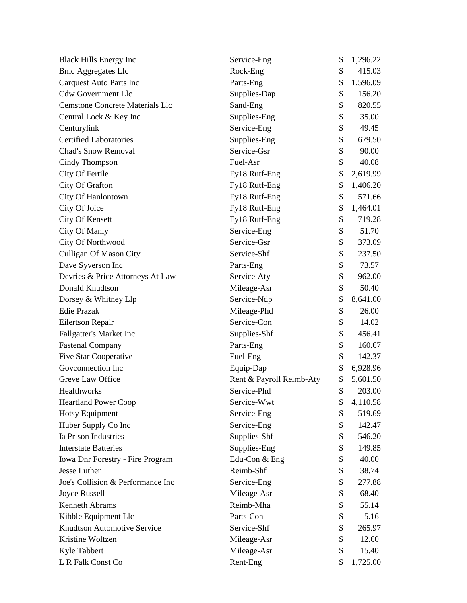| <b>Black Hills Energy Inc</b>          | Service-Eng              | \$<br>1,296.22 |
|----------------------------------------|--------------------------|----------------|
| <b>Bmc Aggregates Llc</b>              | Rock-Eng                 | \$<br>415.03   |
| <b>Carquest Auto Parts Inc</b>         | Parts-Eng                | \$<br>1,596.09 |
| <b>Cdw Government Llc</b>              | Supplies-Dap             | \$<br>156.20   |
| <b>Cemstone Concrete Materials Llc</b> | Sand-Eng                 | \$<br>820.55   |
| Central Lock & Key Inc                 | Supplies-Eng             | \$<br>35.00    |
| Centurylink                            | Service-Eng              | \$<br>49.45    |
| <b>Certified Laboratories</b>          | Supplies-Eng             | \$<br>679.50   |
| <b>Chad's Snow Removal</b>             | Service-Gsr              | \$<br>90.00    |
| Cindy Thompson                         | Fuel-Asr                 | \$<br>40.08    |
| City Of Fertile                        | Fy18 Rutf-Eng            | \$<br>2,619.99 |
| City Of Grafton                        | Fy18 Rutf-Eng            | \$<br>1,406.20 |
| City Of Hanlontown                     | Fy18 Rutf-Eng            | \$<br>571.66   |
| City Of Joice                          | Fy18 Rutf-Eng            | \$<br>1,464.01 |
| City Of Kensett                        | Fy18 Rutf-Eng            | \$<br>719.28   |
| City Of Manly                          | Service-Eng              | \$<br>51.70    |
| City Of Northwood                      | Service-Gsr              | \$<br>373.09   |
| <b>Culligan Of Mason City</b>          | Service-Shf              | \$<br>237.50   |
| Dave Syverson Inc                      | Parts-Eng                | \$<br>73.57    |
| Devries & Price Attorneys At Law       | Service-Aty              | \$<br>962.00   |
| Donald Knudtson                        | Mileage-Asr              | \$<br>50.40    |
| Dorsey & Whitney Llp                   | Service-Ndp              | \$<br>8,641.00 |
| <b>Edie Prazak</b>                     | Mileage-Phd              | \$<br>26.00    |
| Eilertson Repair                       | Service-Con              | \$<br>14.02    |
| Fallgatter's Market Inc                | Supplies-Shf             | \$<br>456.41   |
| <b>Fastenal Company</b>                | Parts-Eng                | \$<br>160.67   |
| <b>Five Star Cooperative</b>           | Fuel-Eng                 | \$<br>142.37   |
| Govconnection Inc                      | Equip-Dap                | \$<br>6,928.96 |
| Greve Law Office                       | Rent & Payroll Reimb-Aty | \$<br>5,601.50 |
| Healthworks                            | Service-Phd              | \$<br>203.00   |
| <b>Heartland Power Coop</b>            | Service-Wwt              | \$<br>4,110.58 |
| <b>Hotsy Equipment</b>                 | Service-Eng              | \$<br>519.69   |
| Huber Supply Co Inc                    | Service-Eng              | \$<br>142.47   |
| Ia Prison Industries                   | Supplies-Shf             | \$<br>546.20   |
| <b>Interstate Batteries</b>            | Supplies-Eng             | \$<br>149.85   |
| Iowa Dnr Forestry - Fire Program       | Edu-Con & Eng            | \$<br>40.00    |
| Jesse Luther                           | Reimb-Shf                | \$<br>38.74    |
| Joe's Collision & Performance Inc      | Service-Eng              | \$<br>277.88   |
| Joyce Russell                          | Mileage-Asr              | \$<br>68.40    |
| <b>Kenneth Abrams</b>                  | Reimb-Mha                | \$<br>55.14    |
| Kibble Equipment Llc                   | Parts-Con                | \$<br>5.16     |
| <b>Knudtson Automotive Service</b>     | Service-Shf              | \$<br>265.97   |
| Kristine Woltzen                       | Mileage-Asr              | \$<br>12.60    |
| Kyle Tabbert                           | Mileage-Asr              | \$<br>15.40    |
| L R Falk Const Co                      | Rent-Eng                 | \$<br>1,725.00 |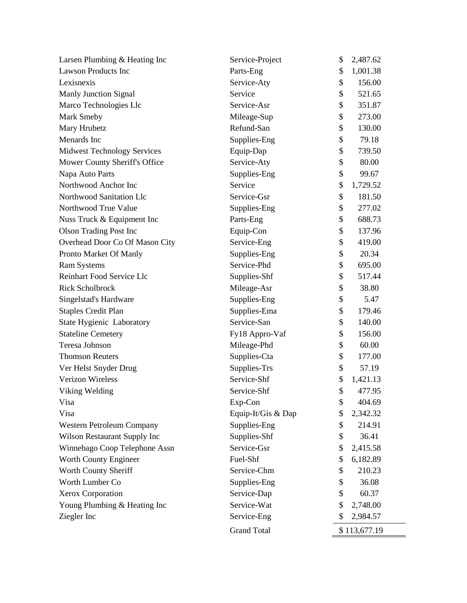| Larsen Plumbing & Heating Inc      | Service-Project    | \$<br>2,487.62 |  |
|------------------------------------|--------------------|----------------|--|
| <b>Lawson Products Inc</b>         | Parts-Eng          | \$<br>1,001.38 |  |
| Lexisnexis                         | Service-Aty        | \$<br>156.00   |  |
| <b>Manly Junction Signal</b>       | Service            | \$<br>521.65   |  |
| Marco Technologies Llc             | Service-Asr        | \$<br>351.87   |  |
| Mark Smeby                         | Mileage-Sup        | \$<br>273.00   |  |
| Mary Hrubetz                       | Refund-San         | \$<br>130.00   |  |
| Menards Inc                        | Supplies-Eng       | \$<br>79.18    |  |
| <b>Midwest Technology Services</b> | Equip-Dap          | \$<br>739.50   |  |
| Mower County Sheriff's Office      | Service-Aty        | \$<br>80.00    |  |
| Napa Auto Parts                    | Supplies-Eng       | \$<br>99.67    |  |
| Northwood Anchor Inc               | Service            | \$<br>1,729.52 |  |
| Northwood Sanitation Llc           | Service-Gsr        | \$<br>181.50   |  |
| Northwood True Value               | Supplies-Eng       | \$<br>277.02   |  |
| Nuss Truck & Equipment Inc         | Parts-Eng          | \$<br>688.73   |  |
| <b>Olson Trading Post Inc</b>      | Equip-Con          | \$<br>137.96   |  |
| Overhead Door Co Of Mason City     | Service-Eng        | \$<br>419.00   |  |
| Pronto Market Of Manly             | Supplies-Eng       | \$<br>20.34    |  |
| <b>Ram Systems</b>                 | Service-Phd        | \$<br>695.00   |  |
| <b>Reinhart Food Service Llc</b>   | Supplies-Shf       | \$<br>517.44   |  |
| <b>Rick Scholbrock</b>             | Mileage-Asr        | \$<br>38.80    |  |
| Singelstad's Hardware              | Supplies-Eng       | \$<br>5.47     |  |
| <b>Staples Credit Plan</b>         | Supplies-Ema       | \$<br>179.46   |  |
| State Hygienic Laboratory          | Service-San        | \$<br>140.00   |  |
| <b>Stateline Cemetery</b>          | Fy18 Appro-Vaf     | \$<br>156.00   |  |
| Teresa Johnson                     | Mileage-Phd        | \$<br>60.00    |  |
| <b>Thomson Reuters</b>             | Supplies-Cta       | \$<br>177.00   |  |
| Ver Helst Snyder Drug              | Supplies-Trs       | \$<br>57.19    |  |
| <b>Verizon Wireless</b>            | Service-Shf        | \$<br>1,421.13 |  |
| Viking Welding                     | Service-Shf        | \$<br>477.95   |  |
| Visa                               | Exp-Con            | \$<br>404.69   |  |
| Visa                               | Equip-It/Gis & Dap | \$<br>2,342.32 |  |
| Western Petroleum Company          | Supplies-Eng       | \$<br>214.91   |  |
| Wilson Restaurant Supply Inc       | Supplies-Shf       | \$<br>36.41    |  |
| Winnebago Coop Telephone Assn      | Service-Gsr        | \$<br>2,415.58 |  |
| Worth County Engineer              | Fuel-Shf           | \$<br>6,182.89 |  |
| Worth County Sheriff               | Service-Chm        | \$<br>210.23   |  |
| Worth Lumber Co                    | Supplies-Eng       | \$<br>36.08    |  |
| Xerox Corporation                  | Service-Dap        | \$<br>60.37    |  |
| Young Plumbing & Heating Inc       | Service-Wat        | \$<br>2,748.00 |  |
| Ziegler Inc                        | Service-Eng        | \$<br>2,984.57 |  |
|                                    | <b>Grand Total</b> | \$113,677.19   |  |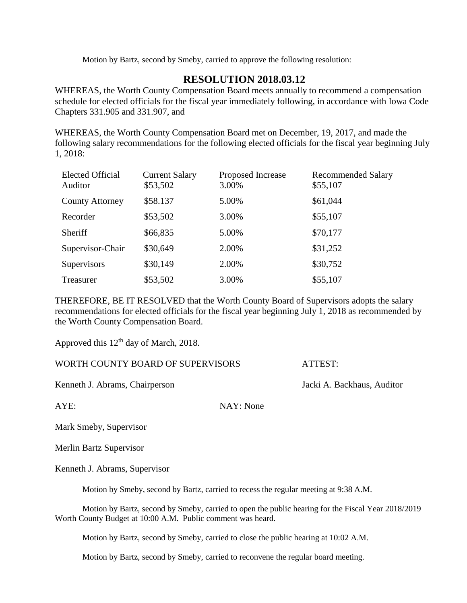Motion by Bartz, second by Smeby, carried to approve the following resolution:

## **RESOLUTION 2018.03.12**

WHEREAS, the Worth County Compensation Board meets annually to recommend a compensation schedule for elected officials for the fiscal year immediately following, in accordance with Iowa Code Chapters 331.905 and 331.907, and

WHEREAS, the Worth County Compensation Board met on December, 19, 2017, and made the following salary recommendations for the following elected officials for the fiscal year beginning July 1, 2018:

| <b>Elected Official</b><br>Auditor | <b>Current Salary</b><br>\$53,502 | Proposed Increase<br>3.00% | <b>Recommended Salary</b><br>\$55,107 |
|------------------------------------|-----------------------------------|----------------------------|---------------------------------------|
| <b>County Attorney</b>             | \$58.137                          | 5.00%                      | \$61,044                              |
| Recorder                           | \$53,502                          | 3.00%                      | \$55,107                              |
| Sheriff                            | \$66,835                          | 5.00%                      | \$70,177                              |
| Supervisor-Chair                   | \$30,649                          | 2.00%                      | \$31,252                              |
| Supervisors                        | \$30,149                          | 2.00%                      | \$30,752                              |
| Treasurer                          | \$53,502                          | 3.00%                      | \$55,107                              |

THEREFORE, BE IT RESOLVED that the Worth County Board of Supervisors adopts the salary recommendations for elected officials for the fiscal year beginning July 1, 2018 as recommended by the Worth County Compensation Board.

Approved this 12<sup>th</sup> day of March, 2018.

WORTH COUNTY BOARD OF SUPERVISORS ATTEST:

Kenneth J. Abrams, Chairperson Jacki A. Backhaus, Auditor

AYE: NAY: None

Mark Smeby, Supervisor

Merlin Bartz Supervisor

Kenneth J. Abrams, Supervisor

Motion by Smeby, second by Bartz, carried to recess the regular meeting at 9:38 A.M.

Motion by Bartz, second by Smeby, carried to open the public hearing for the Fiscal Year 2018/2019 Worth County Budget at 10:00 A.M. Public comment was heard.

Motion by Bartz, second by Smeby, carried to close the public hearing at 10:02 A.M.

Motion by Bartz, second by Smeby, carried to reconvene the regular board meeting.